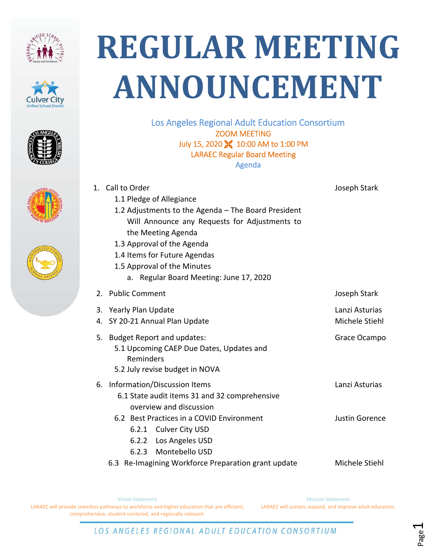









## **REGULAR MEETING ANNOUNCEMENT**

Los Angeles Regional Adult Education Consortium ZOOM MEETING July 15, 2020 **X** 10:00 AM to 1:00 PM LARAEC Regular Board Meeting Agenda

|    | 1. Call to Order                                    | Joseph Stark          |
|----|-----------------------------------------------------|-----------------------|
|    | 1.1 Pledge of Allegiance                            |                       |
|    | 1.2 Adjustments to the Agenda - The Board President |                       |
|    | Will Announce any Requests for Adjustments to       |                       |
|    | the Meeting Agenda                                  |                       |
|    | 1.3 Approval of the Agenda                          |                       |
|    | 1.4 Items for Future Agendas                        |                       |
|    | 1.5 Approval of the Minutes                         |                       |
|    | a. Regular Board Meeting: June 17, 2020             |                       |
| 2. | <b>Public Comment</b>                               | Joseph Stark          |
| 3. | <b>Yearly Plan Update</b>                           | Lanzi Asturias        |
| 4. | SY 20-21 Annual Plan Update                         | Michele Stiehl        |
| 5. | <b>Budget Report and updates:</b>                   | Grace Ocampo          |
|    | 5.1 Upcoming CAEP Due Dates, Updates and            |                       |
|    | Reminders                                           |                       |
|    | 5.2 July revise budget in NOVA                      |                       |
| 6. | Information/Discussion Items                        | Lanzi Asturias        |
|    | 6.1 State audit items 31 and 32 comprehensive       |                       |
|    | overview and discussion                             |                       |
|    | 6.2 Best Practices in a COVID Environment           | <b>Justin Gorence</b> |
|    | 6.2.1 Culver City USD                               |                       |
|    | 6.2.2 Los Angeles USD                               |                       |
|    | 6.2.3 Montebello USD                                |                       |
|    | 6.3 Re-Imagining Workforce Preparation grant update | Michele Stiehl        |

Vision Statement LARAEC will provide seamless pathways to workforce and higher education that are efficient, comprehensive, student‐centered, and regionally relevant.

Mission Statement LARAEC will sustain, expand, and improve adult education.

LOS ANGELES REGIONAL ADULT EDUCATION CONSORTIUM